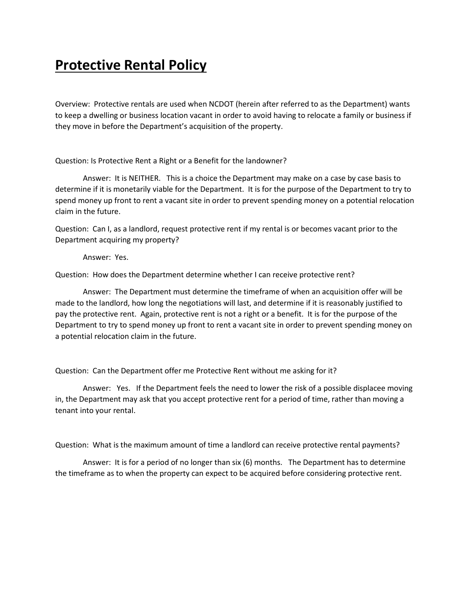## **Protective Rental Policy**

Overview: Protective rentals are used when NCDOT (herein after referred to as the Department) wants to keep a dwelling or business location vacant in order to avoid having to relocate a family or business if they move in before the Department's acquisition of the property.

Question: Is Protective Rent a Right or a Benefit for the landowner?

Answer: It is NEITHER. This is a choice the Department may make on a case by case basis to determine if it is monetarily viable for the Department. It is for the purpose of the Department to try to spend money up front to rent a vacant site in order to prevent spending money on a potential relocation claim in the future.

Question: Can I, as a landlord, request protective rent if my rental is or becomes vacant prior to the Department acquiring my property?

Answer: Yes.

Question: How does the Department determine whether I can receive protective rent?

Answer: The Department must determine the timeframe of when an acquisition offer will be made to the landlord, how long the negotiations will last, and determine if it is reasonably justified to pay the protective rent. Again, protective rent is not a right or a benefit. It is for the purpose of the Department to try to spend money up front to rent a vacant site in order to prevent spending money on a potential relocation claim in the future.

Question: Can the Department offer me Protective Rent without me asking for it?

Answer: Yes. If the Department feels the need to lower the risk of a possible displacee moving in, the Department may ask that you accept protective rent for a period of time, rather than moving a tenant into your rental.

Question: What is the maximum amount of time a landlord can receive protective rental payments?

Answer: It is for a period of no longer than six (6) months. The Department has to determine the timeframe as to when the property can expect to be acquired before considering protective rent.